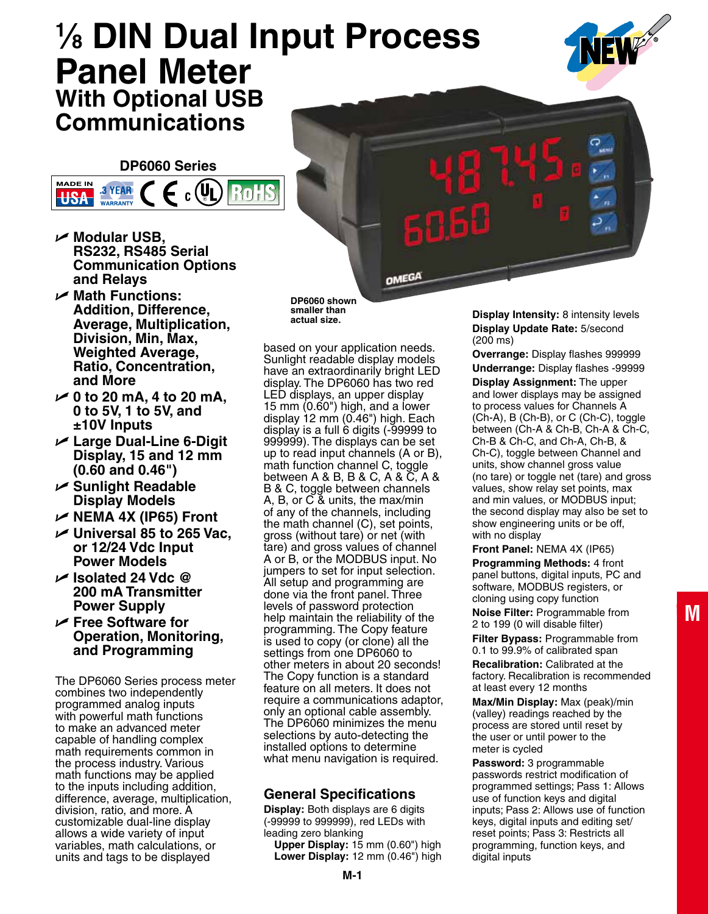# **1 ⁄8 DIN Dual Input Process Panel Meter With Optional USB Communications**



**DP6060 Series**



- U **Modular USB, RS232, RS485 Serial Communication Options and Relays**
- U **Math Functions: Addition, Difference, Average, Multiplication, Division, Min, Max, Weighted Average, Ratio, Concentration, and More**
- U **0 to 20 mA, 4 to 20 mA, 0 to 5V, 1 to 5V, and ±10V Inputs**
- U **Large Dual-Line 6-Digit Display, 15 and 12 mm (0.60 and 0.46")**
- U **Sunlight Readable Display Models**
- U **NEMA 4X (IP65) Front**
- **∠** Universal 85 to 265 Vac, **or 12/24 Vdc Input Power Models**
- U **Isolated 24 Vdc @ 200 mA Transmitter Power Supply**
- U **Free Software for Operation, Monitoring, and Programming**

The DP6060 Series process meter combines two independently programmed analog inputs with powerful math functions to make an advanced meter capable of handling complex math requirements common in the process industry. Various math functions may be applied to the inputs including addition, difference, average, multiplication, division, ratio, and more. A customizable dual-line display allows a wide variety of input variables, math calculations, or units and tags to be displayed

**DP6060 shown smaller than actual size.**

based on your application needs. Sunlight readable display models have an extraordinarily bright LED display. The DP6060 has two red LED displays, an upper display 15 mm (0.60") high, and a lower display 12 mm (0.46") high. Each display is a full 6 digits (-99999 to 999999). The displays can be set up to read input channels (A or B), math function channel C, toggle between A & B, B & C, A & C, A & B & C, toggle between channels A, B, or C & units, the max/min of any of the channels, including the math channel (C), set points, gross (without tare) or net (with tare) and gross values of channel A or B, or the MODBUS input. No jumpers to set for input selection. All setup and programming are done via the front panel. Three levels of password protection help maintain the reliability of the programming. The Copy feature is used to copy (or clone) all the settings from one DP6060 to other meters in about 20 seconds! The Copy function is a standard feature on all meters. It does not require a communications adaptor, only an optional cable assembly. The DP6060 minimizes the menu selections by auto-detecting the installed options to determine what menu navigation is required.

# **General Specifications**

**Display:** Both displays are 6 digits (-99999 to 999999), red LEDs with leading zero blanking

**Upper Display:** 15 mm (0.60") high **Lower Display:** 12 mm (0.46") high **Display Intensity:** 8 intensity levels **Display Update Rate:** 5/second (200 ms)

Ь

**OMEGA** 

**Overrange:** Display flashes 999999 **Underrange:** Display flashes -99999 **Display Assignment:** The upper and lower displays may be assigned to process values for Channels A (Ch-A), B (Ch-B), or C (Ch-C), toggle between (Ch-A & Ch-B, Ch-A & Ch-C, Ch-B & Ch-C, and Ch-A, Ch-B, & Ch-C), toggle between Channel and units, show channel gross value (no tare) or toggle net (tare) and gross values, show relay set points, max and min values, or MODBUS input; the second display may also be set to show engineering units or be off, with no display

**Front Panel:** NEMA 4X (IP65)

**Programming Methods:** 4 front panel buttons, digital inputs, PC and software, MODBUS registers, or cloning using copy function **Noise Filter:** Programmable from

2 to 199 (0 will disable filter)

**Filter Bypass:** Programmable from 0.1 to 99.9% of calibrated span **Recalibration:** Calibrated at the

factory. Recalibration is recommended at least every 12 months

**Max/Min Display:** Max (peak)/min (valley) readings reached by the process are stored until reset by the user or until power to the meter is cycled

**Password:** 3 programmable passwords restrict modification of programmed settings; Pass 1: Allows use of function keys and digital inputs; Pass 2: Allows use of function keys, digital inputs and editing set/ reset points; Pass 3: Restricts all programming, function keys, and digital inputs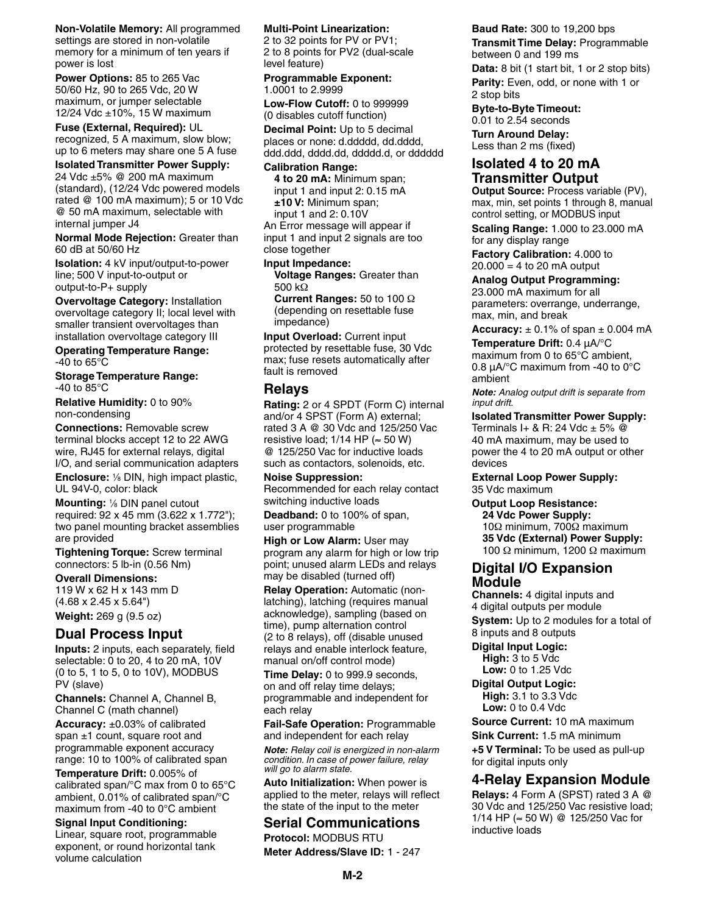**Non-Volatile Memory:** All programmed settings are stored in non-volatile memory for a minimum of ten years if power is lost

**Power Options:** 85 to 265 Vac 50/60 Hz, 90 to 265 Vdc, 20 W maximum, or jumper selectable 12/24 Vdc ±10%, 15 W maximum

**Fuse (External, Required):** UL recognized, 5 A maximum, slow blow; up to 6 meters may share one 5 A fuse

#### **Isolated Transmitter Power Supply:** 24 Vdc ±5% @ 200 mA maximum (standard), (12/24 Vdc powered models rated @ 100 mA maximum); 5 or 10 Vdc @ 50 mA maximum, selectable with

internal jumper J4 **Normal Mode Rejection:** Greater than 60 dB at 50/60 Hz

**Isolation:** 4 kV input/output-to-power line; 500 V input-to-output or output-to-P+ supply

**Overvoltage Category:** Installation overvoltage category II; local level with smaller transient overvoltages than installation overvoltage category III

**Operating Temperature Range:** -40 to 65°C

**Storage Temperature Range:** -40 to 85°C

**Relative Humidity:** 0 to 90% non-condensing

**Connections:** Removable screw terminal blocks accept 12 to 22 AWG wire, RJ45 for external relays, digital I/O, and serial communication adapters

Enclosure: <sup>1/8</sup> DIN, high impact plastic, UL 94V-0, color: black

**Mounting:** <sup>1</sup> ⁄8 DIN panel cutout required: 92 x 45 mm (3.622 x 1.772"); two panel mounting bracket assemblies are provided

**Tightening Torque:** Screw terminal connectors: 5 lb-in (0.56 Nm)

**Overall Dimensions:** 119 W x 62 H x 143 mm D (4.68 x 2.45 x 5.64")

**Weight:** 269 g (9.5 oz)

# **Dual Process Input**

**Inputs:** 2 inputs, each separately, field selectable: 0 to 20, 4 to 20 mA, 10V (0 to 5, 1 to 5, 0 to 10V), MODBUS PV (slave)

**Channels:** Channel A, Channel B, Channel C (math channel)

**Accuracy:** ±0.03% of calibrated span  $\pm 1$  count, square root and programmable exponent accuracy range: 10 to 100% of calibrated span

**Temperature Drift:** 0.005% of calibrated span/°C max from 0 to 65°C ambient, 0.01% of calibrated span/°C maximum from -40 to 0°C ambient

#### **Signal Input Conditioning:** Linear, square root, programmable exponent, or round horizontal tank volume calculation

#### **Multi-Point Linearization:**

2 to 32 points for PV or PV1; 2 to 8 points for PV2 (dual-scale level feature)

**Programmable Exponent:** 1.0001 to 2.9999

**Low-Flow Cutoff:** 0 to 999999 (0 disables cutoff function)

**Decimal Point:** Up to 5 decimal places or none: d.ddddd, dd.dddd, ddd.ddd, dddd.dd, ddddd.d, or dddddd

#### **Calibration Range:**

**4 to 20 mA:** Minimum span; input 1 and input 2: 0.15 mA **±10 V:** Minimum span; input 1 and 2: 0.10V

An Error message will appear if input 1 and input 2 signals are too close together

**Input Impedance:**

**Voltage Ranges:** Greater than 500 kΩ

**Current Ranges:** 50 to 100 Ω (depending on resettable fuse impedance)

**Input Overload:** Current input protected by resettable fuse, 30 Vdc max; fuse resets automatically after fault is removed

## **Relays**

**Rating:** 2 or 4 SPDT (Form C) internal and/or 4 SPST (Form A) external; rated 3 A @ 30 Vdc and 125/250 Vac resistive load;  $1/14$  HP ( $\approx$  50 W) @ 125/250 Vac for inductive loads such as contactors, solenoids, etc.

**Noise Suppression:** Recommended for each relay contact switching inductive loads

**Deadband:** 0 to 100% of span, user programmable

**High or Low Alarm:** User may program any alarm for high or low trip point; unused alarm LEDs and relays may be disabled (turned off)

**Relay Operation:** Automatic (nonlatching), latching (requires manual acknowledge), sampling (based on time), pump alternation control (2 to 8 relays), off (disable unused relays and enable interlock feature, manual on/off control mode)

**Time Delay:** 0 to 999.9 seconds, on and off relay time delays; programmable and independent for each relay

**Fail-Safe Operation:** Programmable and independent for each relay

*Note: Relay coil is energized in non-alarm condition. In case of power failure, relay will go to alarm state.*

**Auto Initialization:** When power is applied to the meter, relays will reflect the state of the input to the meter

# **Serial Communications**

**Protocol: MODBUS RTU Meter Address/Slave ID:** 1 - 247 **Baud Rate:** 300 to 19,200 bps **Transmit Time Delay:** Programmable between 0 and 199 ms

**Data:** 8 bit (1 start bit, 1 or 2 stop bits) **Parity:** Even, odd, or none with 1 or 2 stop bits

**Byte-to-Byte Timeout:**

0.01 to 2.54 seconds **Turn Around Delay:** Less than 2 ms (fixed)

## **Isolated 4 to 20 mA Transmitter Output**

**Output Source:** Process variable (PV), max, min, set points 1 through 8, manual control setting, or MODBUS input

**Scaling Range:** 1.000 to 23.000 mA for any display range

**Factory Calibration:** 4.000 to  $20.000 = 4$  to 20 mA output

#### **Analog Output Programming:**

23.000 mA maximum for all parameters: overrange, underrange, max, min, and break

**Accuracy:**  $\pm$  0.1% of span  $\pm$  0.004 mA

**Temperature Drift:** 0.4 μA/°C maximum from 0 to 65°C ambient, 0.8 μA/°C maximum from -40 to 0°C ambient

*Note: Analog output drift is separate from input drift.*

**Isolated Transmitter Power Supply:** Terminals I+ & R: 24 Vdc  $\pm$  5%  $@$ 40 mA maximum, may be used to power the 4 to 20 mA output or other devices

#### **External Loop Power Supply:** 35 Vdc maximum

## **Output Loop Resistance:**

**24 Vdc Power Supply:** 10Ω minimum, 700Ω maximum **35 Vdc (External) Power Supply:** 100 Ω minimum, 1200 Ω maximum

#### **Digital I/O Expansion Module**

**Channels:** 4 digital inputs and 4 digital outputs per module **System:** Up to 2 modules for a total of

8 inputs and 8 outputs

**Digital Input Logic: High:** 3 to 5 Vdc **Low:** 0 to 1.25 Vdc

**Digital Output Logic: High:** 3.1 to 3.3 Vdc **Low:** 0 to 0.4 Vdc

**Source Current:** 10 mA maximum

**Sink Current:** 1.5 mA minimum

**+5 V Terminal:** To be used as pull-up for digital inputs only

### **4-Relay Expansion Module**

**Relays:** 4 Form A (SPST) rated 3 A @ 30 Vdc and 125/250 Vac resistive load; 1/14 HP (≈ 50 W) @ 125/250 Vac for inductive loads